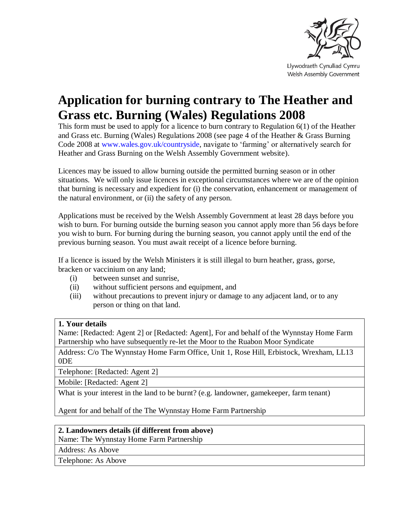

Llywodraeth Cynulliad Cymru Welsh Assembly Government

# **Application for burning contrary to The Heather and Grass etc. Burning (Wales) Regulations 2008**

This form must be used to apply for a licence to burn contrary to Regulation 6(1) of the Heather and Grass etc. Burning (Wales) Regulations 2008 (see page 4 of the Heather & Grass Burning Code 2008 at [www.wales.gov.uk/countryside,](http://www.wales.gov.uk/countryside) navigate to 'farming' or alternatively search for Heather and Grass Burning on the Welsh Assembly Government website).

Licences may be issued to allow burning outside the permitted burning season or in other situations. We will only issue licences in exceptional circumstances where we are of the opinion that burning is necessary and expedient for (i) the conservation, enhancement or management of the natural environment, or (ii) the safety of any person.

Applications must be received by the Welsh Assembly Government at least 28 days before you wish to burn. For burning outside the burning season you cannot apply more than 56 days before you wish to burn. For burning during the burning season, you cannot apply until the end of the previous burning season. You must await receipt of a licence before burning.

If a licence is issued by the Welsh Ministers it is still illegal to burn heather, grass, gorse, bracken or vaccinium on any land;

- (i) between sunset and sunrise,
- (ii) without sufficient persons and equipment, and
- (iii) without precautions to prevent injury or damage to any adjacent land, or to any person or thing on that land.

## **1. Your details**

Name: [Redacted: Agent 2] or [Redacted: Agent], For and behalf of the Wynnstay Home Farm Partnership who have subsequently re-let the Moor to the Ruabon Moor Syndicate

Address: C/o The Wynnstay Home Farm Office, Unit 1, Rose Hill, Erbistock, Wrexham, LL13 0DE

Telephone: [Redacted: Agent 2]

Mobile: [Redacted: Agent 2]

What is your interest in the land to be burnt? (e.g. landowner, gamekeeper, farm tenant)

Agent for and behalf of the The Wynnstay Home Farm Partnership

### **2. Landowners details (if different from above)**

Name: The Wynnstay Home Farm Partnership

Address: As Above

Telephone: As Above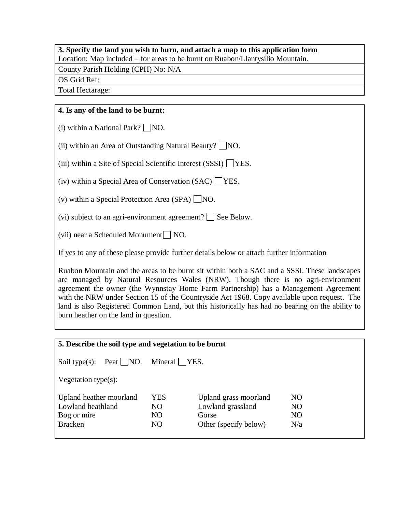# **3. Specify the land you wish to burn, and attach a map to this application form**

Location: Map included – for areas to be burnt on Ruabon/Llantysilio Mountain.

County Parish Holding (CPH) No: N/A

OS Grid Ref:

Total Hectarage:

## **4. Is any of the land to be burnt:**

(i) within a National Park?  $\Box$  NO.

(ii) within an Area of Outstanding Natural Beauty?  $\Box$  NO.

(iii) within a Site of Special Scientific Interest (SSSI)  $\Box$  YES.

(iv) within a Special Area of Conservation (SAC)  $\Box$  YES.

(v) within a Special Protection Area (SPA)  $\Box$ NO.

(vi) subject to an agri-environment agreement?  $\Box$  See Below.

(vii) near a Scheduled Monument  $\Box$  NO.

If yes to any of these please provide further details below or attach further information

Ruabon Mountain and the areas to be burnt sit within both a SAC and a SSSI. These landscapes are managed by Natural Resources Wales (NRW). Though there is no agri-environment agreement the owner (the Wynnstay Home Farm Partnership) has a Management Agreement with the NRW under Section 15 of the Countryside Act 1968. Copy available upon request. The land is also Registered Common Land, but this historically has had no bearing on the ability to burn heather on the land in question.

| 5. Describe the soil type and vegetation to be burnt                          |                               |                                                                              |                                    |
|-------------------------------------------------------------------------------|-------------------------------|------------------------------------------------------------------------------|------------------------------------|
| Soil type $(s)$ :                                                             | Peat     NO. Mineral     YES. |                                                                              |                                    |
| Vegetation type $(s)$ :                                                       |                               |                                                                              |                                    |
| Upland heather moorland<br>Lowland heathland<br>Bog or mire<br><b>Bracken</b> | YES<br>NO.<br>NO.<br>NO       | Upland grass moorland<br>Lowland grassland<br>Gorse<br>Other (specify below) | NO.<br>NO<br>N <sub>O</sub><br>N/a |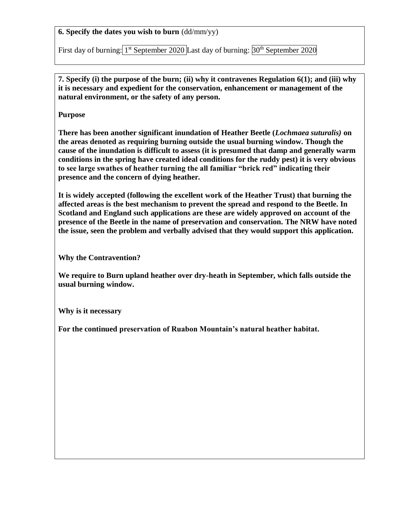**6. Specify the dates you wish to burn** (dd/mm/yy)

First day of burning: <sup>1st</sup> September 2020 Last day of burning: <sup>30th</sup> September 2020

**7. Specify (i) the purpose of the burn; (ii) why it contravenes Regulation 6(1); and (iii) why it is necessary and expedient for the conservation, enhancement or management of the natural environment, or the safety of any person.**

**Purpose** 

**There has been another significant inundation of Heather Beetle (***Lochmaea suturalis)* **on the areas denoted as requiring burning outside the usual burning window. Though the cause of the inundation is difficult to assess (it is presumed that damp and generally warm conditions in the spring have created ideal conditions for the ruddy pest) it is very obvious to see large swathes of heather turning the all familiar "brick red" indicating their presence and the concern of dying heather.** 

**It is widely accepted (following the excellent work of the Heather Trust) that burning the affected areas is the best mechanism to prevent the spread and respond to the Beetle. In Scotland and England such applications are these are widely approved on account of the presence of the Beetle in the name of preservation and conservation. The NRW have noted the issue, seen the problem and verbally advised that they would support this application.** 

**Why the Contravention?**

**We require to Burn upland heather over dry-heath in September, which falls outside the usual burning window.** 

**Why is it necessary** 

**For the continued preservation of Ruabon Mountain's natural heather habitat.**